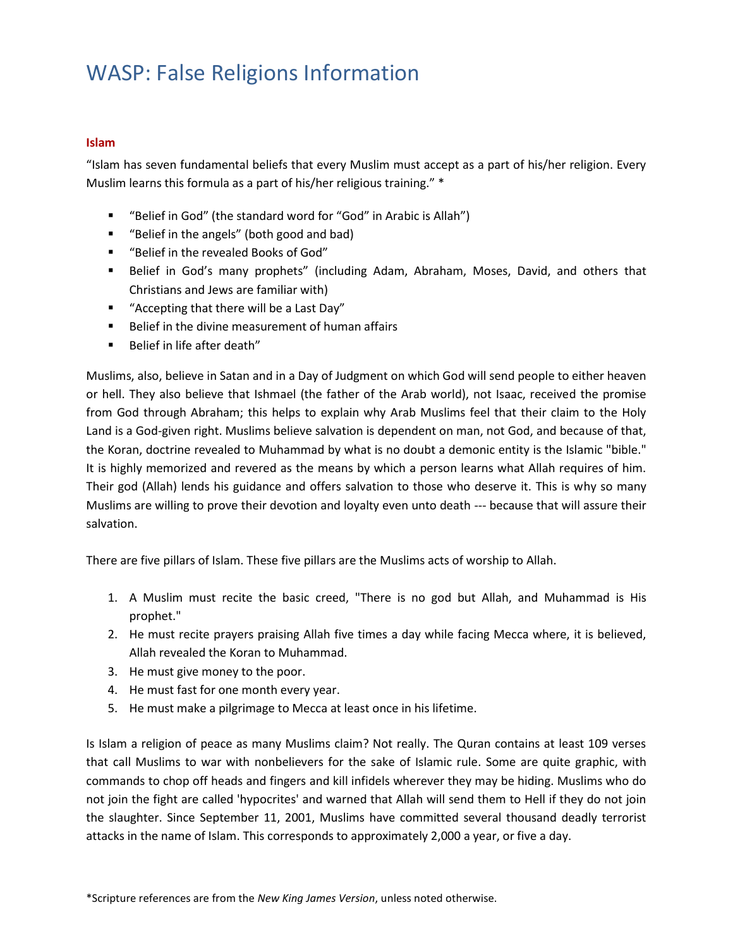### **Islam**

"Islam has seven fundamental beliefs that every Muslim must accept as a part of his/her religion. Every Muslim learns this formula as a part of his/her religious training." \*

- "Belief in God" (the standard word for "God" in Arabic is Allah")
- "Belief in the angels" (both good and bad)
- "Belief in the revealed Books of God"
- **E** Belief in God's many prophets" (including Adam, Abraham, Moses, David, and others that Christians and Jews are familiar with)
- "Accepting that there will be a Last Day"
- Belief in the divine measurement of human affairs
- Belief in life after death"

Muslims, also, believe in Satan and in a Day of Judgment on which God will send people to either heaven or hell. They also believe that Ishmael (the father of the Arab world), not Isaac, received the promise from God through Abraham; this helps to explain why Arab Muslims feel that their claim to the Holy Land is a God-given right. Muslims believe salvation is dependent on man, not God, and because of that, the Koran, doctrine revealed to Muhammad by what is no doubt a demonic entity is the Islamic "bible." It is highly memorized and revered as the means by which a person learns what Allah requires of him. Their god (Allah) lends his guidance and offers salvation to those who deserve it. This is why so many Muslims are willing to prove their devotion and loyalty even unto death --- because that will assure their salvation.

There are five pillars of Islam. These five pillars are the Muslims acts of worship to Allah.

- 1. A Muslim must recite the basic creed, "There is no god but Allah, and Muhammad is His prophet."
- 2. He must recite prayers praising Allah five times a day while facing Mecca where, it is believed, Allah revealed the Koran to Muhammad.
- 3. He must give money to the poor.
- 4. He must fast for one month every year.
- 5. He must make a pilgrimage to Mecca at least once in his lifetime.

Is Islam a religion of peace as many Muslims claim? Not really. The Quran contains at least 109 verses that call Muslims to war with nonbelievers for the sake of Islamic rule. Some are quite graphic, with commands to chop off heads and fingers and kill infidels wherever they may be hiding. Muslims who do not join the fight are called 'hypocrites' and warned that Allah will send them to Hell if they do not join the slaughter. Since September 11, 2001, Muslims have committed several thousand deadly terrorist attacks in the name of Islam. This corresponds to approximately 2,000 a year, or five a day.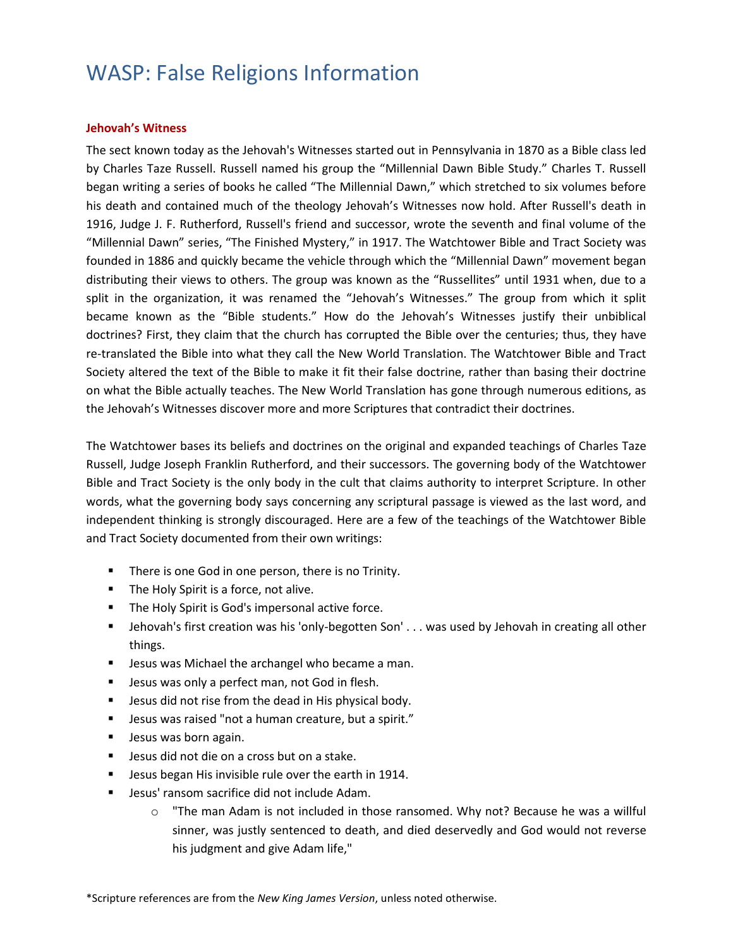### **Jehovah's Witness**

The sect known today as the Jehovah's Witnesses started out in Pennsylvania in 1870 as a Bible class led by Charles Taze Russell. Russell named his group the "Millennial Dawn Bible Study." Charles T. Russell began writing a series of books he called "The Millennial Dawn," which stretched to six volumes before his death and contained much of the theology Jehovah's Witnesses now hold. After Russell's death in 1916, Judge J. F. Rutherford, Russell's friend and successor, wrote the seventh and final volume of the "Millennial Dawn" series, "The Finished Mystery," in 1917. The Watchtower Bible and Tract Society was founded in 1886 and quickly became the vehicle through which the "Millennial Dawn" movement began distributing their views to others. The group was known as the "Russellites" until 1931 when, due to a split in the organization, it was renamed the "Jehovah's Witnesses." The group from which it split became known as the "Bible students." How do the Jehovah's Witnesses justify their unbiblical doctrines? First, they claim that the church has corrupted the Bible over the centuries; thus, they have re-translated the Bible into what they call the New World Translation. The Watchtower Bible and Tract Society altered the text of the Bible to make it fit their false doctrine, rather than basing their doctrine on what the Bible actually teaches. The New World Translation has gone through numerous editions, as the Jehovah's Witnesses discover more and more Scriptures that contradict their doctrines.

The Watchtower bases its beliefs and doctrines on the original and expanded teachings of Charles Taze Russell, Judge Joseph Franklin Rutherford, and their successors. The governing body of the Watchtower Bible and Tract Society is the only body in the cult that claims authority to interpret Scripture. In other words, what the governing body says concerning any scriptural passage is viewed as the last word, and independent thinking is strongly discouraged. Here are a few of the teachings of the Watchtower Bible and Tract Society documented from their own writings:

- **EXTER** There is one God in one person, there is no Trinity.
- The Holy Spirit is a force, not alive.
- The Holy Spirit is God's impersonal active force.
- **■** Jehovah's first creation was his 'only-begotten Son' . . . was used by Jehovah in creating all other things.
- **E** Jesus was Michael the archangel who became a man.
- Jesus was only a perfect man, not God in flesh.
- Jesus did not rise from the dead in His physical body.
- Jesus was raised "not a human creature, but a spirit."
- **■** Jesus was born again.
- Jesus did not die on a cross but on a stake.
- **E** Jesus began His invisible rule over the earth in 1914.
- Jesus' ransom sacrifice did not include Adam.
	- $\circ$  "The man Adam is not included in those ransomed. Why not? Because he was a willful sinner, was justly sentenced to death, and died deservedly and God would not reverse his judgment and give Adam life,"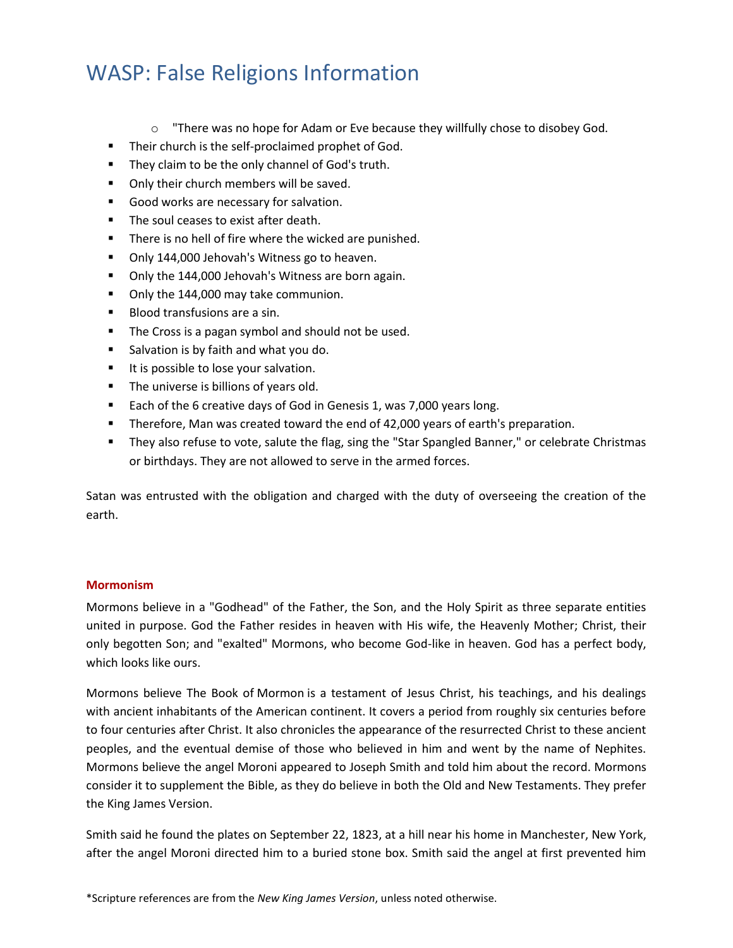- $\circ$  "There was no hope for Adam or Eve because they willfully chose to disobey God.
- Their church is the self-proclaimed prophet of God.
- They claim to be the only channel of God's truth.
- Only their church members will be saved.
- Good works are necessary for salvation.
- The soul ceases to exist after death.
- There is no hell of fire where the wicked are punished.
- Only 144,000 Jehovah's Witness go to heaven.
- Only the 144,000 Jehovah's Witness are born again.
- Only the 144,000 may take communion.
- Blood transfusions are a sin.
- The Cross is a pagan symbol and should not be used.
- Salvation is by faith and what you do.
- It is possible to lose your salvation.
- **•** The universe is billions of years old.
- Each of the 6 creative days of God in Genesis 1, was 7,000 years long.
- **•** Therefore, Man was created toward the end of 42,000 years of earth's preparation.
- They also refuse to vote, salute the flag, sing the "Star Spangled Banner," or celebrate Christmas or birthdays. They are not allowed to serve in the armed forces.

Satan was entrusted with the obligation and charged with the duty of overseeing the creation of the earth.

### **Mormonism**

Mormons believe in a "Godhead" of the Father, the Son, and the Holy Spirit as three separate entities united in purpose. God the Father resides in heaven with His wife, the Heavenly Mother; Christ, their only begotten Son; and "exalted" Mormons, who become God-like in heaven. God has a perfect body, which looks like ours.

Mormons believe The Book of [Mormon](http://www.beliefnet.com/faiths/christianity/latter-day-saints/index.aspx) is a testament of Jesus Christ, his teachings, and his dealings with ancient inhabitants of the American continent. It covers a period from roughly six centuries before to four centuries after Christ. It also chronicles the appearance of the resurrected Christ to these ancient peoples, and the eventual demise of those who believed in him and went by the name of Nephites. Mormons believe the angel Moroni appeared to Joseph Smith and told him about the record. Mormons consider it to supplement the Bible, as they do believe in both the Old and New Testaments. They prefer the King James Version.

Smith said he found the plates on September 22, 1823, at a hill near his home in Manchester, New York, after the angel Moroni directed him to a buried stone box. Smith said the angel at first prevented him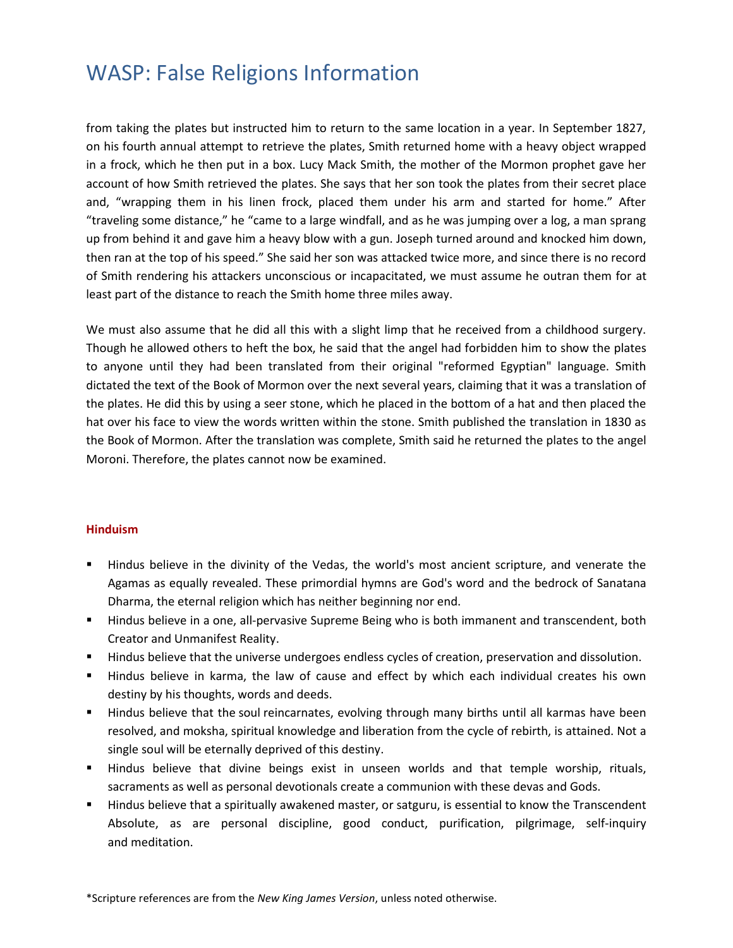from taking the plates but instructed him to return to the same location in a year. In September 1827, on his fourth annual attempt to retrieve the plates, Smith returned home with a heavy object wrapped in a frock, which he then put in a box. Lucy Mack Smith, the mother of the Mormon prophet gave her account of how Smith retrieved the plates. She says that her son took the plates from their secret place and, "wrapping them in his linen frock, placed them under his arm and started for home." After "traveling some distance," he "came to a large windfall, and as he was jumping over a log, a man sprang up from behind it and gave him a heavy blow with a gun. Joseph turned around and knocked him down, then ran at the top of his speed." She said her son was attacked twice more, and since there is no record of Smith rendering his attackers unconscious or incapacitated, we must assume he outran them for at least part of the distance to reach the Smith home three miles away.

We must also assume that he did all this with a slight limp that he received from a childhood surgery. Though he allowed others to heft the box, he said that the angel had forbidden him to show the plates to anyone until they had been translated from their original "reformed Egyptian" language. Smith dictated the text of the Book of Mormon over the next several years, claiming that it was a translation of the plates. He did this by using a seer stone, which he placed in the bottom of a hat and then placed the hat over his face to view the words written within the stone. Smith published the translation in 1830 as the Book of Mormon. After the translation was complete, Smith said he returned the plates to the angel Moroni. Therefore, the plates cannot now be examined.

#### **Hinduism**

- Hindus believe in the divinity of the Vedas, the world's most ancient scripture, and venerate the Agamas as equally revealed. These primordial hymns are God's word and the bedrock of Sanatana Dharma, the eternal religion which has neither beginning nor end.
- **E** Hindus believe in a one, all-pervasive Supreme Being who is both immanent and transcendent, both Creator and Unmanifest Reality.
- **E** Hindus believe that the universe undergoes endless cycles of creation, preservation and dissolution.
- Hindus believe in karma, the law of cause and effect by which each individual creates his own destiny by his thoughts, words and deeds.
- **■** Hindus believe that the soul reincarnates, evolving through many births until all karmas have been resolved, and moksha, spiritual knowledge and liberation from the cycle of rebirth, is attained. Not a single soul will be eternally deprived of this destiny.
- **E** Hindus believe that divine beings exist in unseen worlds and that temple worship, rituals, sacraments as well as personal devotionals create a communion with these devas and Gods.
- **EXT** Hindus believe that a spiritually awakened master, or satguru, is essential to know the Transcendent Absolute, as are personal discipline, good conduct, purification, pilgrimage, self-inquiry and meditation.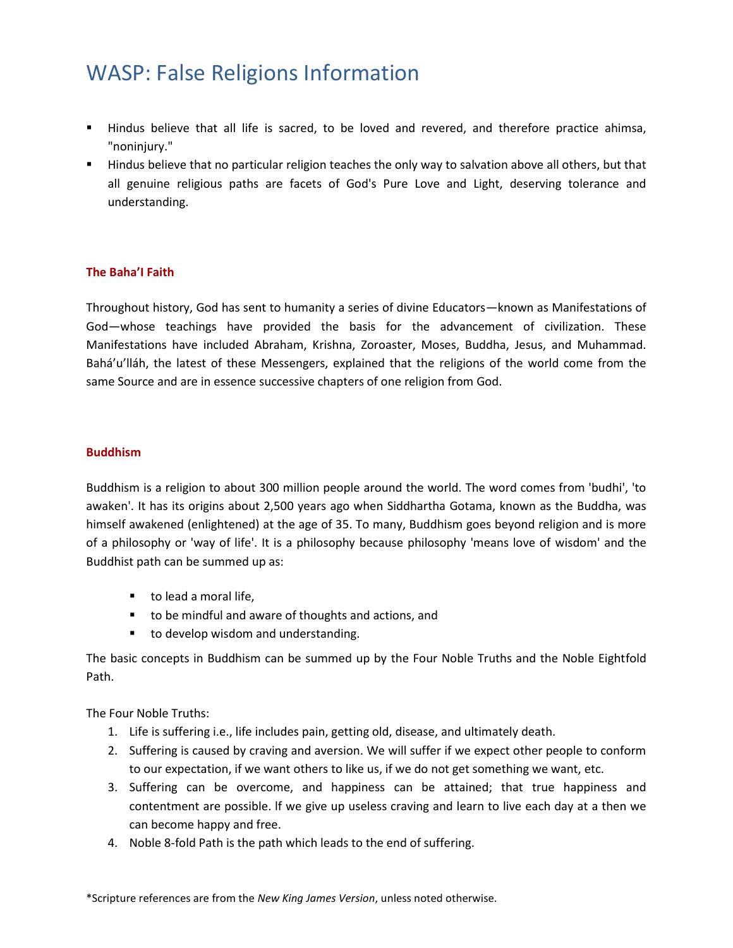- Hindus believe that all life is sacred, to be loved and revered, and therefore practice ahimsa, "noninjury."
- Hindus believe that no particular religion teaches the only way to salvation above all others, but that all genuine religious paths are facets of God's Pure Love and Light, deserving tolerance and understanding.

### **The Baha'I Faith**

Throughout history, God has sent to humanity a series of divine Educators—known as Manifestations of God—whose teachings have provided the basis for the advancement of civilization. These Manifestations have included Abraham, Krishna, Zoroaster, Moses, Buddha, Jesus, and Muhammad. Bahá'u'lláh, the latest of these Messengers, explained that the religions of the world come from the same Source and are in essence successive chapters of one religion from God.

### **Buddhism**

Buddhism is a religion to about 300 million people around the world. The word comes from 'budhi', 'to awaken'. It has its origins about 2,500 years ago when Siddhartha Gotama, known as the Buddha, was himself awakened (enlightened) at the age of 35. To many, Buddhism goes beyond religion and is more of a philosophy or 'way of life'. It is a philosophy because philosophy 'means love of wisdom' and the Buddhist path can be summed up as:

- to lead a moral life,
- to be mindful and aware of thoughts and actions, and
- to develop wisdom and understanding.

The basic concepts in Buddhism can be summed up by the Four Noble Truths and the Noble Eightfold Path.

The Four Noble Truths:

- 1. Life is suffering i.e., life includes pain, getting old, disease, and ultimately death.
- 2. Suffering is caused by craving and aversion. We will suffer if we expect other people to conform to our expectation, if we want others to like us, if we do not get something we want, etc.
- 3. Suffering can be overcome, and happiness can be attained; that true happiness and contentment are possible. lf we give up useless craving and learn to live each day at a then we can become happy and free.
- 4. Noble 8-fold Path is the path which leads to the end of suffering.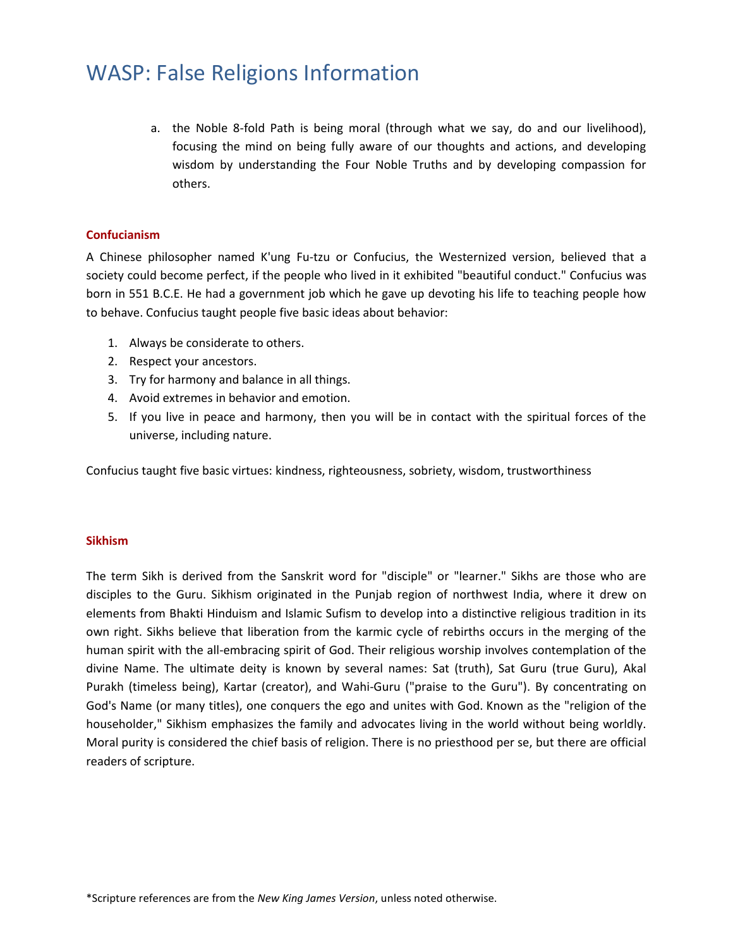a. the Noble 8-fold Path is being moral (through what we say, do and our livelihood), focusing the mind on being fully aware of our thoughts and actions, and developing wisdom by understanding the Four Noble Truths and by developing compassion for others.

### **Confucianism**

A Chinese philosopher named K'ung Fu-tzu or Confucius, the Westernized version, believed that a society could become perfect, if the people who lived in it exhibited "beautiful conduct." Confucius was born in 551 B.C.E. He had a government job which he gave up devoting his life to teaching people how to behave. Confucius taught people five basic ideas about behavior:

- 1. Always be considerate to others.
- 2. Respect your ancestors.
- 3. Try for harmony and balance in all things.
- 4. Avoid extremes in behavior and emotion.
- 5. If you live in peace and harmony, then you will be in contact with the spiritual forces of the universe, including nature.

Confucius taught five basic virtues: kindness, righteousness, sobriety, wisdom, trustworthiness

#### **Sikhism**

The term Sikh is derived from the Sanskrit word for "disciple" or "learner." Sikhs are those who are disciples to the Guru. Sikhism originated in the Punjab region of northwest India, where it drew on elements from Bhakti Hinduism and Islamic Sufism to develop into a distinctive religious tradition in its own right. Sikhs believe that liberation from the karmic cycle of rebirths occurs in the merging of the human spirit with the all-embracing spirit of God. Their religious worship involves contemplation of the divine Name. The ultimate deity is known by several names: Sat (truth), Sat Guru (true Guru), Akal Purakh (timeless being), Kartar (creator), and Wahi-Guru ("praise to the Guru"). By concentrating on God's Name (or many titles), one conquers the ego and unites with God. Known as the "religion of the householder," Sikhism emphasizes the family and advocates living in the world without being worldly. Moral purity is considered the chief basis of religion. There is no priesthood per se, but there are official readers of scripture.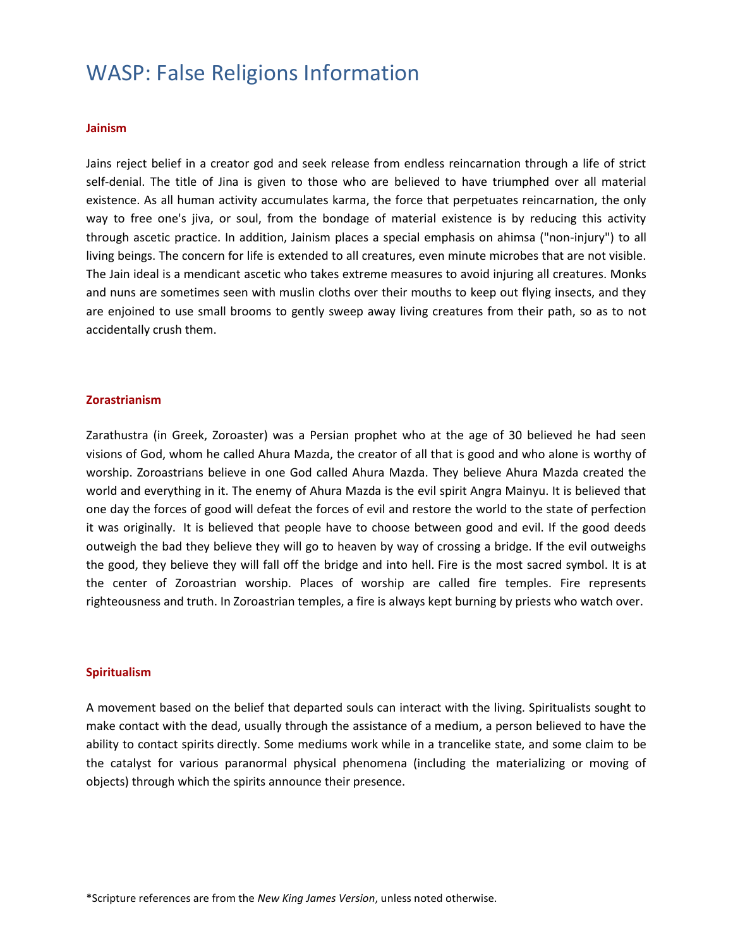#### **Jainism**

Jains reject belief in a creator god and seek release from endless reincarnation through a life of strict self-denial. The title of Jina is given to those who are believed to have triumphed over all material existence. As all human activity accumulates karma, the force that perpetuates reincarnation, the only way to free one's jiva, or soul, from the bondage of material existence is by reducing this activity through ascetic practice. In addition, Jainism places a special emphasis on ahimsa ("non-injury") to all living beings. The concern for life is extended to all creatures, even minute microbes that are not visible. The Jain ideal is a mendicant ascetic who takes extreme measures to avoid injuring all creatures. Monks and nuns are sometimes seen with muslin cloths over their mouths to keep out flying insects, and they are enjoined to use small brooms to gently sweep away living creatures from their path, so as to not accidentally crush them.

#### **Zorastrianism**

Zarathustra (in Greek, Zoroaster) was a Persian prophet who at the age of 30 believed he had seen visions of God, whom he called Ahura Mazda, the creator of all that is good and who alone is worthy of worship. Zoroastrians believe in one God called Ahura Mazda. They believe Ahura Mazda created the world and everything in it. The enemy of Ahura Mazda is the evil spirit Angra Mainyu. It is believed that one day the forces of good will defeat the forces of evil and restore the world to the state of perfection it was originally. It is believed that people have to choose between good and evil. If the good deeds outweigh the bad they believe they will go to heaven by way of crossing a bridge. If the evil outweighs the good, they believe they will fall off the bridge and into hell. Fire is the most sacred symbol. It is at the center of Zoroastrian worship. Places of worship are called fire temples. Fire represents righteousness and truth. In Zoroastrian temples, a fire is always kept burning by priests who watch over.

#### **Spiritualism**

A movement based on the belief that departed souls can interact with the living. Spiritualists sought to make contact with the dead, usually through the assistance of a [medium,](http://www.britannica.com/EBchecked/topic/372730/medium) a person believed to have the ability to contact [spirits](http://www.britannica.com/EBchecked/topic/560383/spirit) directly. Some mediums work while in a trancelike state, and some claim to be the catalyst for various paranormal physical phenomena (including the materializing or moving of objects) through which the spirits announce their presence.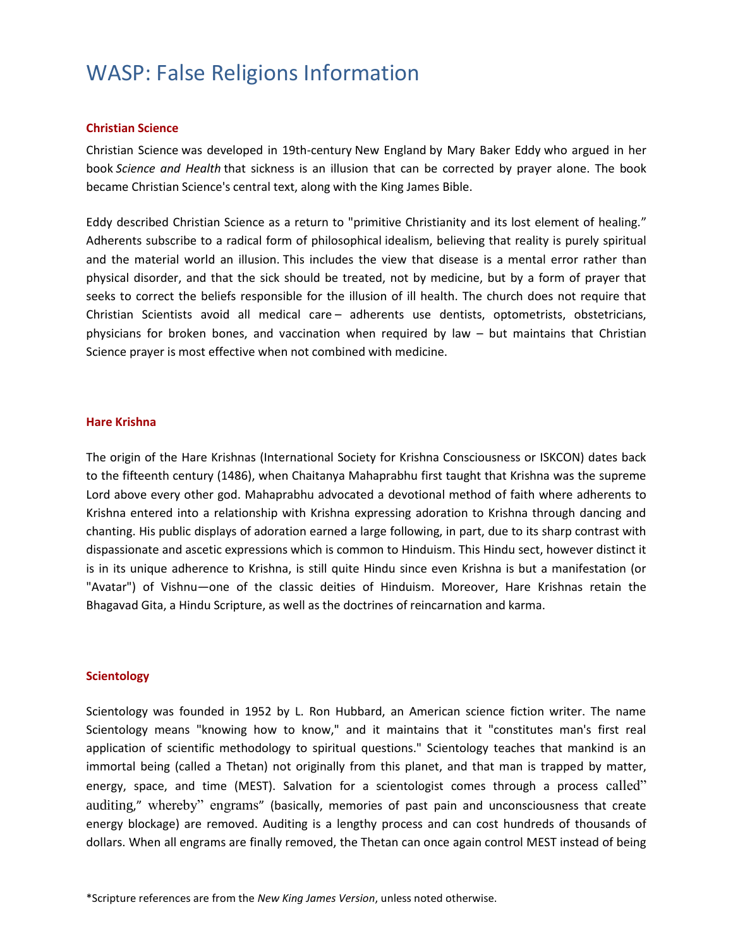#### **Christian Science**

Christian Science was developed in 19th-century [New England](http://en.wikipedia.org/wiki/New_England) by Mary Baker Eddy who argued in her book *[Science and Health](http://en.wikipedia.org/wiki/Science_and_Health_with_Key_to_the_Scriptures)* that sickness is an illusion that can be corrected by prayer alone. The book became Christian Science's central text, along with the [King James Bible.](http://en.wikipedia.org/wiki/King_James_Version)

Eddy described Christian Science as a return to "primitive Christianity and its lost element of healing." Adherents subscribe to a radical form of philosophical [idealism,](http://en.wikipedia.org/wiki/Idealism) believing that reality is purely spiritual and the material world an illusion. This includes the view that disease is a mental error rather than physical disorder, and that the sick should be treated, not by medicine, but by a form of prayer that seeks to correct the beliefs responsible for the illusion of ill health. The church does not require that Christian Scientists avoid all medical care – adherents use dentists, optometrists, obstetricians, physicians for broken bones, and vaccination when required by law – but maintains that Christian Science prayer is most effective when not combined with medicine.

#### **Hare Krishna**

The origin of the Hare Krishnas (International Society for Krishna Consciousness or ISKCON) dates back to the fifteenth century (1486), when Chaitanya Mahaprabhu first taught that Krishna was the supreme Lord above every other god. Mahaprabhu advocated a devotional method of faith where adherents to Krishna entered into a relationship with Krishna expressing adoration to Krishna through dancing and chanting. His public displays of adoration earned a large following, in part, due to its sharp contrast with dispassionate and ascetic expressions which is common to Hinduism. This Hindu sect, however distinct it is in its unique adherence to Krishna, is still quite Hindu since even Krishna is but a manifestation (or "Avatar") of Vishnu—one of the classic deities of Hinduism. Moreover, Hare Krishnas retain the Bhagavad Gita, a Hindu Scripture, as well as the doctrines of reincarnation and karma.

#### **Scientology**

Scientology was founded in 1952 by L. Ron Hubbard, an American science fiction writer. The name Scientology means "knowing how to know," and it maintains that it "constitutes man's first real application of scientific methodology to spiritual questions." Scientology teaches that mankind is an immortal being (called a Thetan) not originally from this planet, and that man is trapped by matter, energy, space, and time (MEST). Salvation for a scientologist comes through a process called" auditing," whereby" engrams" (basically, memories of past pain and unconsciousness that create energy blockage) are removed. Auditing is a lengthy process and can cost hundreds of thousands of dollars. When all engrams are finally removed, the Thetan can once again control MEST instead of being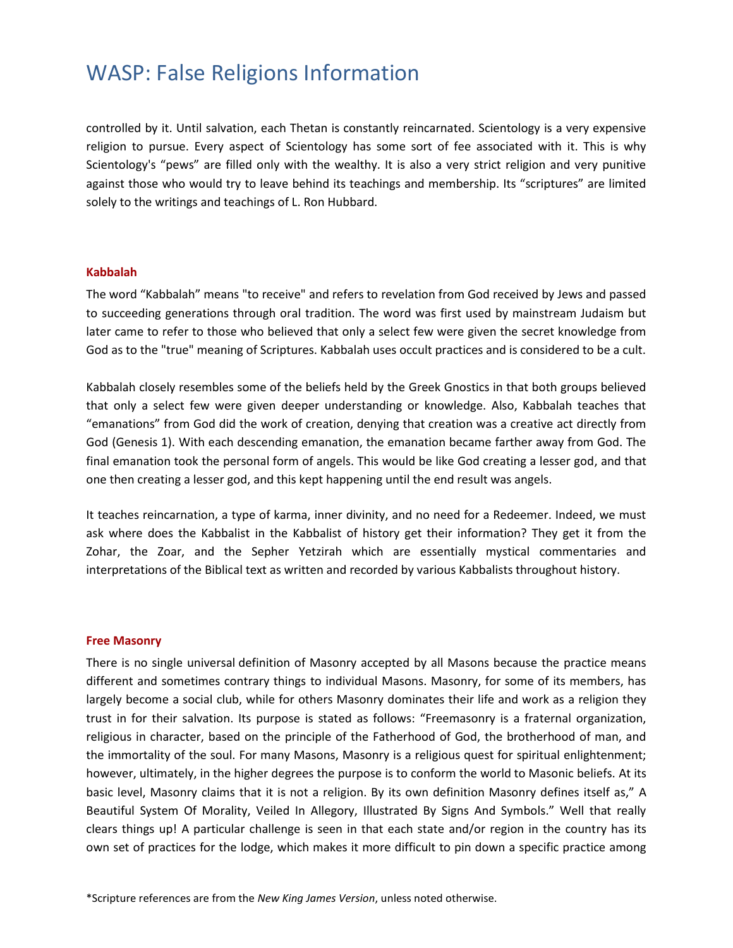controlled by it. Until salvation, each Thetan is constantly reincarnated. Scientology is a very expensive religion to pursue. Every aspect of Scientology has some sort of fee associated with it. This is why Scientology's "pews" are filled only with the wealthy. It is also a very strict religion and very punitive against those who would try to leave behind its teachings and membership. Its "scriptures" are limited solely to the writings and teachings of L. Ron Hubbard.

#### **Kabbalah**

The word "Kabbalah" means "to receive" and refers to revelation from God received by Jews and passed to succeeding generations through oral tradition. The word was first used by mainstream Judaism but later came to refer to those who believed that only a select few were given the secret knowledge from God as to the "true" meaning of Scriptures. Kabbalah uses occult practices and is considered to be a cult.

Kabbalah closely resembles some of the beliefs held by the Greek Gnostics in that both groups believed that only a select few were given deeper understanding or knowledge. Also, Kabbalah teaches that "emanations" from God did the work of creation, denying that creation was a creative act directly from God (Genesis 1). With each descending emanation, the emanation became farther away from God. The final emanation took the personal form of angels. This would be like God creating a lesser god, and that one then creating a lesser god, and this kept happening until the end result was angels.

It teaches reincarnation, a type of karma, inner divinity, and no need for a Redeemer. Indeed, we must ask where does the Kabbalist in the Kabbalist of history get their information? They get it from the Zohar, the Zoar, and the Sepher Yetzirah which are essentially mystical commentaries and interpretations of the Biblical text as written and recorded by various Kabbalists throughout history.

#### **Free Masonry**

There is no single universal definition of Masonry accepted by all Masons because the practice means different and sometimes contrary things to individual Masons. Masonry, for some of its members, has largely become a social club, while for others Masonry dominates their life and work as a religion they trust in for their salvation. Its purpose is stated as follows: "Freemasonry is a fraternal organization, religious in character, based on the principle of the Fatherhood of God, the brotherhood of man, and the immortality of the soul. For many Masons, Masonry is a religious quest for spiritual enlightenment; however, ultimately, in the higher degrees the purpose is to conform the world to Masonic beliefs. At its basic level, Masonry claims that it is not a religion. By its own definition Masonry defines itself as," A Beautiful System Of Morality, Veiled In Allegory, Illustrated By Signs And Symbols." Well that really clears things up! A particular challenge is seen in that each state and/or region in the country has its own set of practices for the lodge, which makes it more difficult to pin down a specific practice among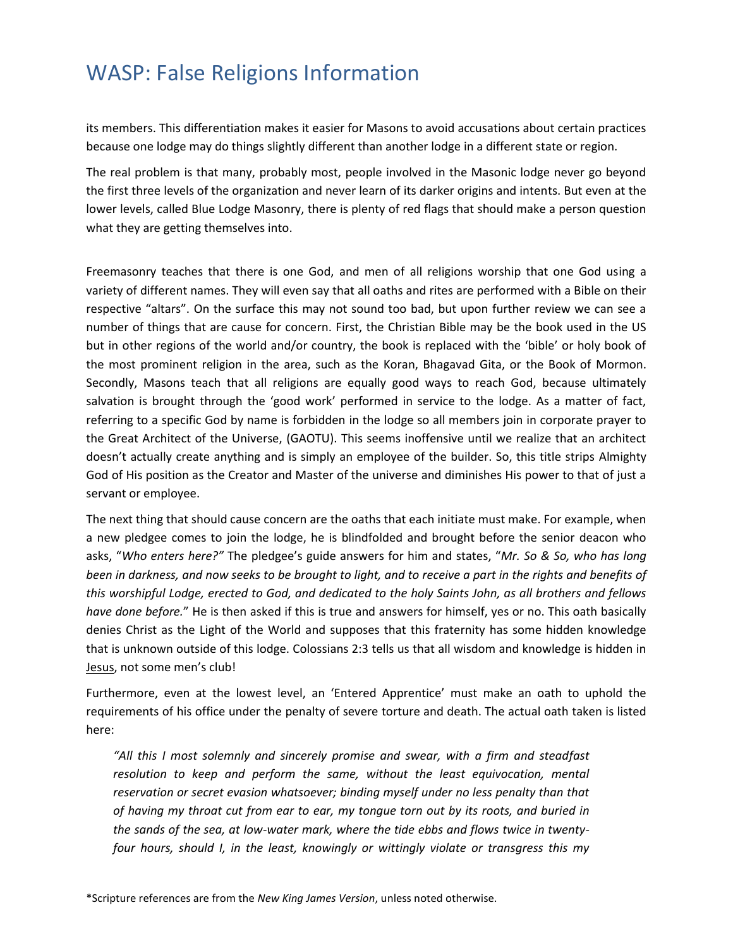its members. This differentiation makes it easier for Masons to avoid accusations about certain practices because one lodge may do things slightly different than another lodge in a different state or region.

The real problem is that many, probably most, people involved in the Masonic lodge never go beyond the first three levels of the organization and never learn of its darker origins and intents. But even at the lower levels, called Blue Lodge Masonry, there is plenty of red flags that should make a person question what they are getting themselves into.

Freemasonry teaches that there is one God, and men of all religions worship that one God using a variety of different names. They will even say that all oaths and rites are performed with a Bible on their respective "altars". On the surface this may not sound too bad, but upon further review we can see a number of things that are cause for concern. First, the Christian Bible may be the book used in the US but in other regions of the world and/or country, the book is replaced with the 'bible' or holy book of the most prominent religion in the area, such as the Koran, Bhagavad Gita, or the Book of Mormon. Secondly, Masons teach that all religions are equally good ways to reach God, because ultimately salvation is brought through the 'good work' performed in service to the lodge. As a matter of fact, referring to a specific God by name is forbidden in the lodge so all members join in corporate prayer to the Great Architect of the Universe, (GAOTU). This seems inoffensive until we realize that an architect doesn't actually create anything and is simply an employee of the builder. So, this title strips Almighty God of His position as the Creator and Master of the universe and diminishes His power to that of just a servant or employee.

The next thing that should cause concern are the oaths that each initiate must make. For example, when a new pledgee comes to join the lodge, he is blindfolded and brought before the senior deacon who asks, "*Who enters here?"* The pledgee's guide answers for him and states, "*Mr. So & So, who has long been in darkness, and now seeks to be brought to light, and to receive a part in the rights and benefits of this worshipful Lodge, erected to God, and dedicated to the holy Saints John, as all brothers and fellows have done before.*" He is then asked if this is true and answers for himself, yes or no. This oath basically denies Christ as the Light of the World and supposes that this fraternity has some hidden knowledge that is unknown outside of this lodge. Colossians 2:3 tells us that all wisdom and knowledge is hidden in Jesus, not some men's club!

Furthermore, even at the lowest level, an 'Entered Apprentice' must make an oath to uphold the requirements of his office under the penalty of severe torture and death. The actual oath taken is listed here:

*"All this I most solemnly and sincerely promise and swear, with a firm and steadfast resolution to keep and perform the same, without the least equivocation, mental reservation or secret evasion whatsoever; binding myself under no less penalty than that of having my throat cut from ear to ear, my tongue torn out by its roots, and buried in the sands of the sea, at low-water mark, where the tide ebbs and flows twice in twentyfour hours, should I, in the least, knowingly or wittingly violate or transgress this my*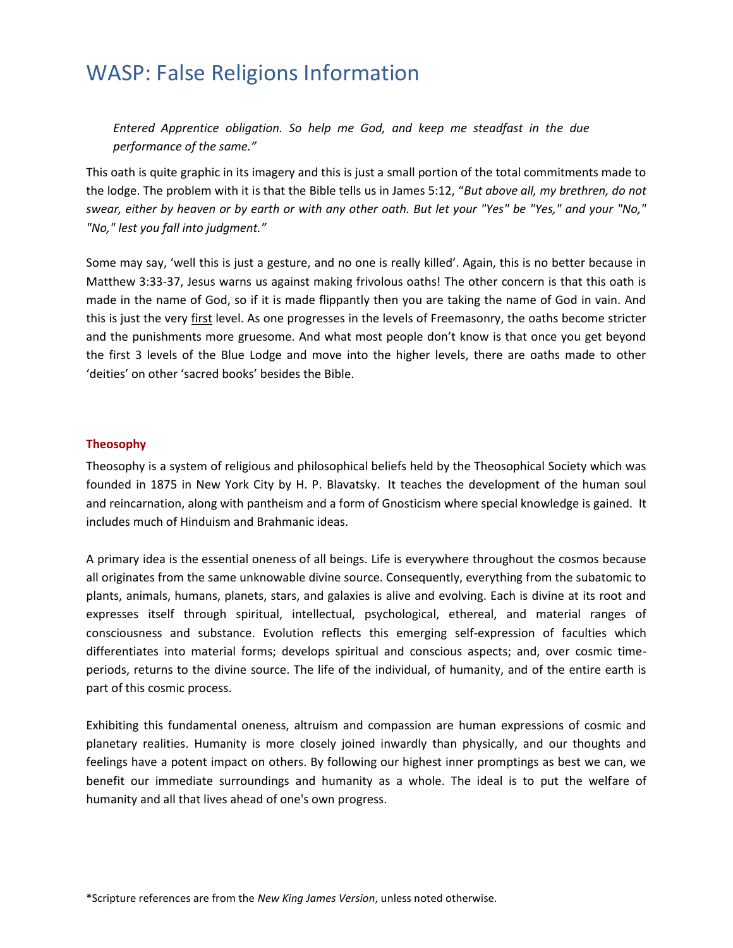*Entered Apprentice obligation. So help me God, and keep me steadfast in the due performance of the same."*

This oath is quite graphic in its imagery and this is just a small portion of the total commitments made to the lodge. The problem with it is that the Bible tells us in James 5:12, "*But above all, my brethren, do not swear, either by heaven or by earth or with any other oath. But let your "Yes" be "Yes," and your "No," "No," lest you fall into judgment."*

Some may say, 'well this is just a gesture, and no one is really killed'. Again, this is no better because in Matthew 3:33-37, Jesus warns us against making frivolous oaths! The other concern is that this oath is made in the name of God, so if it is made flippantly then you are taking the name of God in vain. And this is just the very first level. As one progresses in the levels of Freemasonry, the oaths become stricter and the punishments more gruesome. And what most people don't know is that once you get beyond the first 3 levels of the Blue Lodge and move into the higher levels, there are oaths made to other 'deities' on other 'sacred books' besides the Bible.

### **Theosophy**

Theosophy is a system of religious and philosophical beliefs held by the Theosophical Society which was founded in 1875 in New York City by H. P. Blavatsky. It teaches the development of the human soul and reincarnation, along with pantheism and a form of Gnosticism where special knowledge is gained. It includes much of Hinduism and Brahmanic ideas.

A primary idea is the essential oneness of all beings. Life is everywhere throughout the cosmos because all originates from the same unknowable divine source. Consequently, everything from the subatomic to plants, animals, humans, planets, stars, and galaxies is alive and evolving. Each is divine at its root and expresses itself through spiritual, intellectual, psychological, ethereal, and material ranges of consciousness and substance. Evolution reflects this emerging self-expression of faculties which differentiates into material forms; develops spiritual and conscious aspects; and, over cosmic timeperiods, returns to the divine source. The life of the individual, of humanity, and of the entire earth is part of this cosmic process.

Exhibiting this fundamental oneness, altruism and compassion are human expressions of cosmic and planetary realities. Humanity is more closely joined inwardly than physically, and our thoughts and feelings have a potent impact on others. By following our highest inner promptings as best we can, we benefit our immediate surroundings and humanity as a whole. The ideal is to put the welfare of humanity and all that lives ahead of one's own progress.